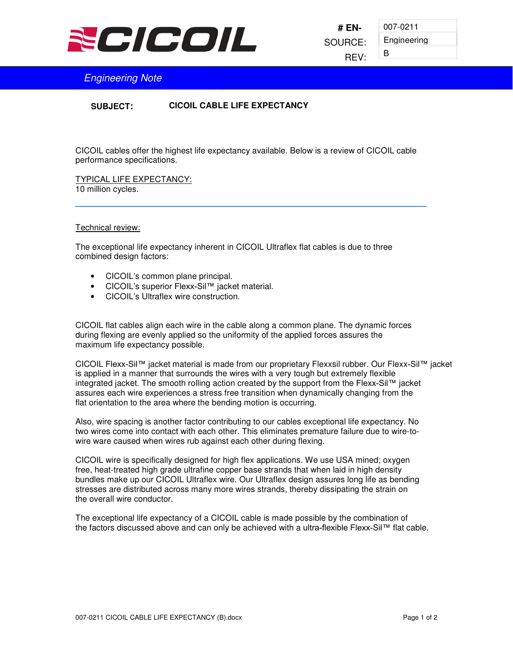

007-0211 Engineering B

## Engineering Note

**CICOIL CABLE LIFE EXPECTANCY SUBJECT:**

CICOIL cables offer the highest life expectancy available. Below is a review of CICOIL cable performance specifications.

TYPICAL LIFE EXPECTANCY: 10 million cycles.

## Technical review:

The exceptional life expectancy inherent in CICOIL Ultraflex flat cables is due to three combined design factors:

- CICOIL's common plane principal.
- CICOIL's superior Flexx-Sil™ jacket material.
- CICOIL's Ultraflex wire construction.

CICOIL flat cables align each wire in the cable along a common plane. The dynamic forces during flexing are evenly applied so the uniformity of the applied forces assures the maximum life expectancy possible.

CICOIL Flexx-Sil™ jacket material is made from our proprietary Flexxsil rubber. Our Flexx-Sil™ jacket is applied in a manner that surrounds the wires with a very tough but extremely flexible integrated jacket. The smooth rolling action created by the support from the Flexx-Sil™ jacket assures each wire experiences a stress free transition when dynamically changing from the flat orientation to the area where the bending motion is occurring.

Also, wire spacing is another factor contributing to our cables exceptional life expectancy. No two wires come into contact with each other. This eliminates premature failure due to wire-towire ware caused when wires rub against each other during flexing.

CICOIL wire is specifically designed for high flex applications. We use USA mined; oxygen free, heat-treated high grade ultrafine copper base strands that when laid in high density bundles make up our CICOIL Ultraflex wire. Our Ultraflex design assures long life as bending stresses are distributed across many more wires strands, thereby dissipating the strain on the overall wire conductor.

The exceptional life expectancy of a CICOIL cable is made possible by the combination of the factors discussed above and can only be achieved with a ultra-flexible Flexx-Sil™ flat cable.